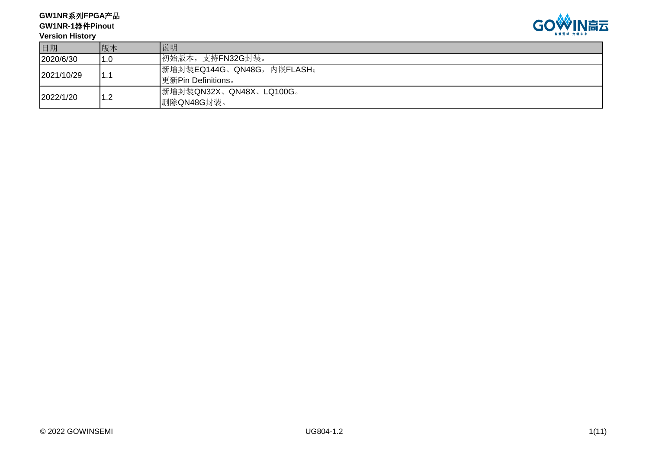**GW1NR**系列**FPGA**产品 **GW1NR-1**器件**Pinout**



#### **Version History**

| 日期         | 版本           | 说明                        |
|------------|--------------|---------------------------|
| 2020/6/30  | 1.0          | 初始版本, 支持FN32G封装。          |
| 2021/10/29 |              | 新增封装EQ144G、QN48G,内嵌FLASH; |
|            | . .          | 更新Pin Definitions。        |
| 2022/1/20  | - 2          | 新增封装QN32X、QN48X、LQ100G。   |
|            | . <u>. .</u> | 删除QN48G封装。                |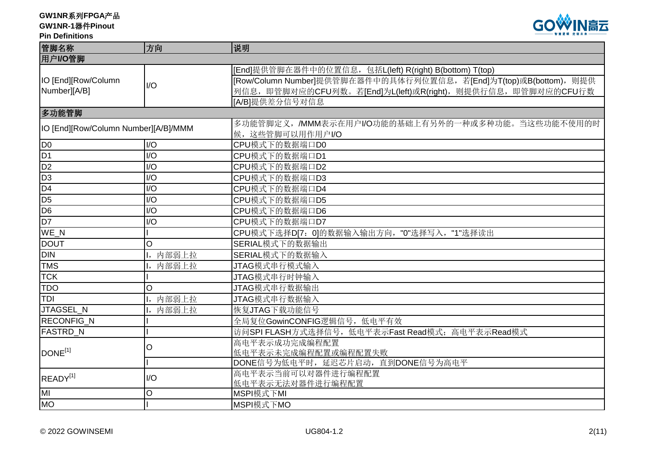**GW1NR-1**器件**Pinout**

#### **Pin Definitions**



| 管脚名称                                 | 方向                          | 说明                                                                 |
|--------------------------------------|-----------------------------|--------------------------------------------------------------------|
| 用户I/O管脚                              |                             |                                                                    |
|                                      |                             | [End]提供管脚在器件中的位置信息, 包括L(left) R(right) B(bottom) T(top)            |
| IO [End][Row/Column                  | $\overline{1/O}$            | [Row/Column Number]提供管脚在器件中的具体行列位置信息, 若[End]为T(top)或B(bottom), 则提供 |
| Number][A/B]                         |                             | 列信息, 即管脚对应的CFU列数。若[End]为L(left)或R(right), 则提供行信息, 即管脚对应的CFU行数      |
|                                      |                             | [A/B]提供差分信号对信息                                                     |
| 多功能管脚                                |                             |                                                                    |
| IO [End][Row/Column Number][A/B]/MMM |                             | 多功能管脚定义, /MMM表示在用户I/O功能的基础上有另外的一种或多种功能。当这些功能不使用的时                  |
|                                      |                             | 候, 这些管脚可以用作用户I/O                                                   |
| D <sub>0</sub>                       | I/O                         | CPU模式下的数据端口D0                                                      |
| D <sub>1</sub>                       | I/O                         | CPU模式下的数据端口D1                                                      |
| D <sub>2</sub>                       | $\overline{1}/\overline{O}$ | CPU模式下的数据端口D2                                                      |
| D <sub>3</sub>                       | I/O                         | CPU模式下的数据端口D3                                                      |
| D4                                   | I/O                         | CPU模式下的数据端口D4                                                      |
| D <sub>5</sub>                       | I/O                         | CPU模式下的数据端口D5                                                      |
| D <sub>6</sub>                       | I/O                         | CPU模式下的数据端口D6                                                      |
| D <sub>7</sub>                       | $\overline{1/O}$            | CPU模式下的数据端口D7                                                      |
| $WE_N$                               |                             | CPU模式下选择D[7: 0]的数据输入输出方向, "0"选择写入, "1"选择读出                         |
| <b>DOUT</b>                          | $\circ$                     | SERIAL模式下的数据输出                                                     |
| <b>DIN</b>                           | 内部弱上拉<br>Ι,                 | SERIAL模式下的数据输入                                                     |
| <b>TMS</b>                           | 内部弱上拉                       | JTAG模式串行模式输入                                                       |
| <b>TCK</b>                           |                             | JTAG模式串行时钟输入                                                       |
| <b>TDO</b>                           | O                           | JTAG模式串行数据输出                                                       |
| <b>TDI</b>                           | 内部弱上拉                       | JTAG模式串行数据输入                                                       |
| JTAGSEL_N                            | 内部弱上拉                       | 恢复JTAG下载功能信号                                                       |
| RECONFIG_N                           |                             | 全局复位GowinCONFIG逻辑信号, 低电平有效                                         |
| <b>FASTRD_N</b>                      |                             | 访问SPI FLASH方式选择信号, 低电平表示Fast Read模式; 高电平表示Read模式                   |
|                                      | O                           | 高电平表示成功完成编程配置                                                      |
| DONE <sup>[1]</sup>                  |                             | 低电平表示未完成编程配置或编程配置失败                                                |
|                                      |                             | DONE信号为低电平时, 延迟芯片启动, 直到DONE信号为高电平                                  |
| READY <sup>[1]</sup>                 | I/O                         | 高电平表示当前可以对器件进行编程配置                                                 |
|                                      |                             | 低电平表示无法对器件进行编程配置                                                   |
| MI                                   | $\circ$                     | MSPI模式下MI                                                          |
| <b>MO</b>                            |                             | MSPI模式下MO                                                          |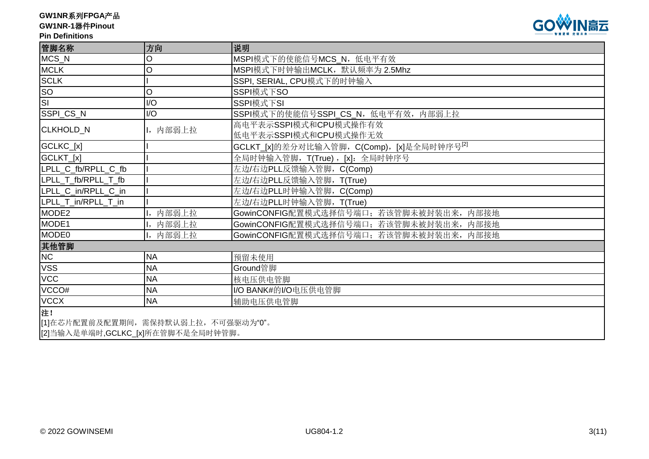# **GW1NR-1**器件**Pinout**

#### **Pin Definitions**



| 管脚名称                                 | 方向        | 说明                                                     |
|--------------------------------------|-----------|--------------------------------------------------------|
| MCS_N                                | O         | MSPI模式下的使能信号MCS_N, 低电平有效                               |
| <b>MCLK</b>                          | O         | MSPI模式下时钟输出MCLK, 默认频率为 2.5Mhz                          |
| <b>SCLK</b>                          |           | SSPI, SERIAL, CPU模式下的时钟输入                              |
| <b>SO</b>                            | O         | SSPI模式下SO                                              |
| $\overline{\mathsf{s}}$              | I/O       | SSPI模式下SI                                              |
| SSPI_CS_N                            | I/O       | SSPI模式下的使能信号SSPI_CS_N, 低电平有效, 内部弱上拉                    |
| <b>CLKHOLD N</b>                     | I, 内部弱上拉  | 高电平表示SSPI模式和CPU模式操作有效<br>低电平表示SSPI模式和CPU模式操作无效         |
| GCLKC_[x]                            |           | GCLKT_[x]的差分对比输入管脚, C(Comp), [x]是全局时钟序号 <sup>[2]</sup> |
| GCLKT_[x]                            |           | 全局时钟输入管脚, T(True), [x]: 全局时钟序号                         |
| LPLL_C_fb/RPLL_C_fb                  |           | 左边/右边PLL反馈输入管脚, C(Comp)                                |
| LPLL_T_fb/RPLL_T_fb                  |           | 左边/右边PLL反馈输入管脚, T(True)                                |
| LPLL_C_in/RPLL_C_in                  |           | 左边/右边PLL时钟输入管脚, C(Comp)                                |
| LPLL_T_in/RPLL_T_in                  |           | 左边/右边PLL时钟输入管脚, T(True)                                |
| MODE <sub>2</sub>                    | 内部弱上拉     | GowinCONFIG配置模式选择信号端口; 若该管脚未被封装出来,<br>内部接地             |
| MODE1                                | I, 内部弱上拉  | GowinCONFIG配置模式选择信号端口; 若该管脚未被封装出来, 内部接地                |
| MODE <sub>0</sub>                    | I, 内部弱上拉  | GowinCONFIG配置模式选择信号端口; 若该管脚未被封装出来,<br>内部接地             |
| 其他管脚                                 |           |                                                        |
| NC                                   | <b>NA</b> | 预留未使用                                                  |
| <b>VSS</b>                           | <b>NA</b> | Ground管脚                                               |
| <b>VCC</b>                           | <b>NA</b> | 核电压供电管脚                                                |
| VCCO#                                | <b>NA</b> | I/O BANK#的I/O电压供电管脚                                    |
| <b>VCCX</b>                          | <b>NA</b> | 辅助电压供电管脚                                               |
| 注!                                   |           |                                                        |
| [1]在芯片配置前及配置期间, 需保持默认弱上拉, 不可强驱动为"0"。 |           |                                                        |

[2]当输入是单端时,GCLKC\_[x]所在管脚不是全局时钟管脚。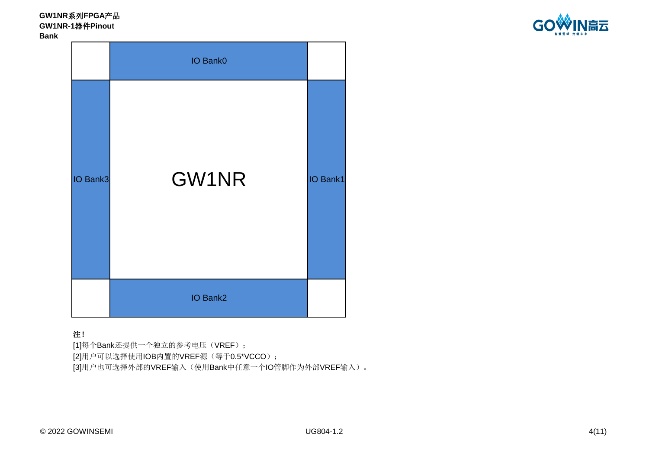**GW1NR**系列**FPGA**产品 **GW1NR-1**器件**Pinout Bank**



|          | IO Bank0 |          |
|----------|----------|----------|
| IO Bank3 | GW1NR    | IO Bank1 |
|          | IO Bank2 |          |

#### 注!

[1]每个Bank还提供一个独立的参考电压(VREF); [2]用户可以选择使用IOB内置的VREF源(等于0.5\*VCCO); [3]用户也可选择外部的VREF输入(使用Bank中任意一个IO管脚作为外部VREF输入)。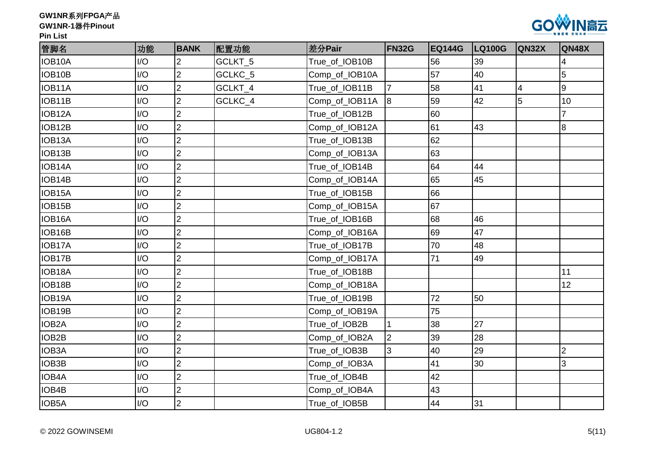



| 管脚名                | 功能  | <b>BANK</b>    | 配置功能    | 差分Pair         | <b>FN32G</b>   | <b>EQ144G</b> | <b>LQ100G</b> | <b>QN32X</b>   | QN48X          |
|--------------------|-----|----------------|---------|----------------|----------------|---------------|---------------|----------------|----------------|
| IOB10A             | I/O | $\overline{2}$ | GCLKT_5 | True_of_IOB10B |                | 56            | 39            |                | 4              |
| IOB10B             | I/O | $\overline{2}$ | GCLKC_5 | Comp_of_IOB10A |                | 57            | 40            |                | 5              |
| IOB11A             | I/O | $\overline{2}$ | GCLKT_4 | True_of_IOB11B | $\overline{7}$ | 58            | 41            | $\overline{4}$ | $\overline{9}$ |
| IOB11B             | I/O | $\overline{2}$ | GCLKC_4 | Comp_of_IOB11A | l8             | 59            | 42            | 5              | 10             |
| IOB12A             | I/O | $\overline{2}$ |         | True_of_IOB12B |                | 60            |               |                | $\overline{7}$ |
| IOB12B             | I/O | $\overline{2}$ |         | Comp_of_IOB12A |                | 61            | 43            |                | 8              |
| IOB13A             | I/O | $\overline{2}$ |         | True_of_IOB13B |                | 62            |               |                |                |
| IOB13B             | I/O | $\overline{2}$ |         | Comp_of_IOB13A |                | 63            |               |                |                |
| IOB14A             | I/O | $\overline{2}$ |         | True_of_IOB14B |                | 64            | 44            |                |                |
| IOB14B             | I/O | $\overline{2}$ |         | Comp_of_IOB14A |                | 65            | 45            |                |                |
| IOB15A             | I/O | $\overline{2}$ |         | True_of_IOB15B |                | 66            |               |                |                |
| IOB15B             | I/O | $\overline{2}$ |         | Comp_of_IOB15A |                | 67            |               |                |                |
| IOB16A             | I/O | $\overline{2}$ |         | True_of_IOB16B |                | 68            | 46            |                |                |
| IOB16B             | I/O | $\overline{2}$ |         | Comp_of_IOB16A |                | 69            | 47            |                |                |
| IOB17A             | I/O | $\overline{2}$ |         | True_of_IOB17B |                | 70            | 48            |                |                |
| IOB17B             | I/O | $\overline{2}$ |         | Comp_of_IOB17A |                | 71            | 49            |                |                |
| IOB18A             | I/O | 2              |         | True_of_IOB18B |                |               |               |                | 11             |
| IOB18B             | I/O | $\overline{2}$ |         | Comp_of_IOB18A |                |               |               |                | 12             |
| IOB19A             | I/O | $\overline{2}$ |         | True_of_IOB19B |                | 72            | 50            |                |                |
| IOB19B             | I/O | $\overline{2}$ |         | Comp_of_IOB19A |                | 75            |               |                |                |
| IOB <sub>2</sub> A | I/O | $\overline{2}$ |         | True_of_IOB2B  |                | 38            | 27            |                |                |
| IOB2B              | I/O | $\overline{2}$ |         | Comp_of_IOB2A  | $\overline{2}$ | 39            | 28            |                |                |
| IOB3A              | I/O | $\overline{2}$ |         | True_of_IOB3B  | 3              | 40            | 29            |                | $\overline{c}$ |
| IOB3B              | I/O | $\overline{2}$ |         | Comp_of_IOB3A  |                | 41            | 30            |                | 3              |
| IOB4A              | I/O | $\overline{2}$ |         | True_of_IOB4B  |                | 42            |               |                |                |
| IOB4B              | I/O | $\overline{2}$ |         | Comp_of_IOB4A  |                | 43            |               |                |                |
| IOB5A              | I/O | $\overline{2}$ |         | True_of_IOB5B  |                | 44            | 31            |                |                |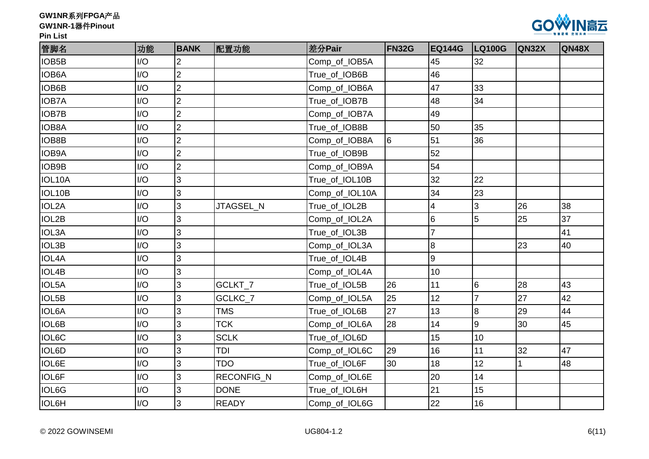



| 管脚名          | 功能  | <b>BANK</b>    | 配置功能         | 差分Pair         | <b>FN32G</b> | <b>EQ144G</b>   | <b>LQ100G</b>   | <b>QN32X</b> | QN48X |
|--------------|-----|----------------|--------------|----------------|--------------|-----------------|-----------------|--------------|-------|
| IOB5B        | I/O | $\overline{2}$ |              | Comp_of_IOB5A  |              | 45              | 32              |              |       |
| <b>IOB6A</b> | I/O | $\overline{2}$ |              | True_of_IOB6B  |              | 46              |                 |              |       |
| IOB6B        | I/O | $\overline{2}$ |              | Comp_of_IOB6A  |              | 47              | 33              |              |       |
| <b>IOB7A</b> | I/O | $\overline{2}$ |              | True_of_IOB7B  |              | 48              | 34              |              |       |
| <b>IOB7B</b> | I/O | $\overline{2}$ |              | Comp_of_IOB7A  |              | 49              |                 |              |       |
| IOB8A        | I/O | $\overline{2}$ |              | True_of_IOB8B  |              | 50              | 35              |              |       |
| IOB8B        | I/O | $\overline{2}$ |              | Comp_of_IOB8A  | 6            | 51              | 36              |              |       |
| <b>IOB9A</b> | I/O | $\overline{2}$ |              | True_of_IOB9B  |              | 52              |                 |              |       |
| IOB9B        | I/O | $\overline{2}$ |              | Comp_of_IOB9A  |              | 54              |                 |              |       |
| IOL10A       | I/O | 3              |              | True_of_IOL10B |              | 32              | 22              |              |       |
| IOL10B       | I/O | 3              |              | Comp_of_IOL10A |              | 34              | 23              |              |       |
| IOL2A        | I/O | $\overline{3}$ | JTAGSEL_N    | True_of_IOL2B  |              | 4               | $\mathbf{3}$    | 26           | 38    |
| IOL2B        | I/O | 3              |              | Comp_of_IOL2A  |              | $6\overline{6}$ | 5               | 25           | 37    |
| <b>IOL3A</b> | I/O | 3              |              | True_of_IOL3B  |              |                 |                 |              | 41    |
| IOL3B        | I/O | $\overline{3}$ |              | Comp_of_IOL3A  |              | $\overline{8}$  |                 | 23           | 40    |
| <b>IOL4A</b> | I/O | 3              |              | True_of_IOL4B  |              | 9               |                 |              |       |
| IOL4B        | I/O | 3              |              | Comp_of_IOL4A  |              | 10              |                 |              |       |
| IOL5A        | I/O | 3              | GCLKT_7      | True_of_IOL5B  | 26           | 11              | $6\phantom{1}6$ | 28           | 43    |
| IOL5B        | I/O | 3              | GCLKC_7      | Comp_of_IOL5A  | 25           | 12              | 7               | 27           | 42    |
| <b>IOL6A</b> | I/O | 3              | <b>TMS</b>   | True_of_IOL6B  | 27           | 13              | 8               | 29           | 44    |
| <b>IOL6B</b> | I/O | 3              | <b>TCK</b>   | Comp_of_IOL6A  | 28           | 14              | 9               | 30           | 45    |
| <b>IOL6C</b> | I/O | 3              | <b>SCLK</b>  | True_of_IOL6D  |              | 15              | 10              |              |       |
| IOL6D        | I/O | 3              | TDI          | Comp_of_IOL6C  | 29           | 16              | 11              | 32           | 47    |
| IOL6E        | I/O | 3              | <b>TDO</b>   | True_of_IOL6F  | 30           | 18              | 12              | 1            | 48    |
| <b>IOL6F</b> | I/O | $\overline{3}$ | RECONFIG_N   | Comp_of_IOL6E  |              | 20              | 14              |              |       |
| IOL6G        | I/O | $\overline{3}$ | <b>DONE</b>  | True_of_IOL6H  |              | 21              | 15              |              |       |
| <b>IOL6H</b> | I/O | 3              | <b>READY</b> | Comp_of_IOL6G  |              | 22              | 16              |              |       |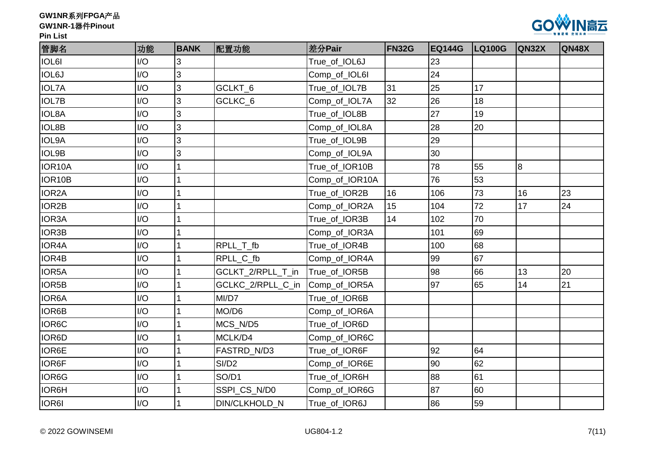



| 管脚名                | 功能  | <b>BANK</b> | 配置功能                 | 差分Pair         | <b>FN32G</b> | <b>EQ144G</b> | <b>LQ100G</b> | <b>QN32X</b> | QN48X |
|--------------------|-----|-------------|----------------------|----------------|--------------|---------------|---------------|--------------|-------|
| IOL6I              | I/O | 3           |                      | True_of_IOL6J  |              | 23            |               |              |       |
| <b>IOL6J</b>       | I/O | 3           |                      | Comp_of_IOL6I  |              | 24            |               |              |       |
| <b>IOL7A</b>       | I/O | 3           | GCLKT_6              | True_of_IOL7B  | 31           | 25            | 17            |              |       |
| <b>IOL7B</b>       | I/O | 3           | GCLKC_6              | Comp_of_IOL7A  | 32           | 26            | 18            |              |       |
| <b>IOL8A</b>       | I/O | 3           |                      | True_of_IOL8B  |              | 27            | 19            |              |       |
| <b>IOL8B</b>       | I/O | 3           |                      | Comp_of_IOL8A  |              | 28            | 20            |              |       |
| IOL9A              | I/O | 3           |                      | True_of_IOL9B  |              | 29            |               |              |       |
| <b>IOL9B</b>       | I/O | 3           |                      | Comp_of_IOL9A  |              | 30            |               |              |       |
| IOR10A             | I/O |             |                      | True_of_IOR10B |              | 78            | 55            | 8            |       |
| IOR10B             | I/O |             |                      | Comp_of_IOR10A |              | 76            | 53            |              |       |
| IOR <sub>2</sub> A | I/O |             |                      | True_of_IOR2B  | 16           | 106           | 73            | 16           | 23    |
| IOR2B              | I/O |             |                      | Comp_of_IOR2A  | 15           | 104           | 72            | 17           | 24    |
| IOR3A              | I/O |             |                      | True_of_IOR3B  | 14           | 102           | 70            |              |       |
| IOR3B              | I/O |             |                      | Comp_of_IOR3A  |              | 101           | 69            |              |       |
| IOR4A              | I/O |             | RPLL_T_fb            | True_of_IOR4B  |              | 100           | 68            |              |       |
| IOR4B              | I/O |             | RPLL_C_fb            | Comp_of_IOR4A  |              | 99            | 67            |              |       |
| IOR5A              | I/O |             | GCLKT_2/RPLL_T_in    | True_of_IOR5B  |              | 98            | 66            | 13           | 20    |
| IOR5B              | I/O |             | GCLKC_2/RPLL_C_in    | Comp_of_IOR5A  |              | 97            | 65            | 14           | 21    |
| <b>IOR6A</b>       | I/O |             | MI/D7                | True_of_IOR6B  |              |               |               |              |       |
| IOR6B              | I/O |             | MO/D6                | Comp_of_IOR6A  |              |               |               |              |       |
| IOR6C              | I/O |             | MCS_N/D5             | True_of_IOR6D  |              |               |               |              |       |
| <b>IOR6D</b>       | I/O |             | MCLK/D4              | Comp_of_IOR6C  |              |               |               |              |       |
| <b>IOR6E</b>       | I/O |             | FASTRD_N/D3          | True_of_IOR6F  |              | 92            | 64            |              |       |
| <b>IOR6F</b>       | I/O |             | SI/D <sub>2</sub>    | Comp_of_IOR6E  |              | 90            | 62            |              |       |
| IOR6G              | I/O |             | SO/D1                | True_of_IOR6H  |              | 88            | 61            |              |       |
| <b>IOR6H</b>       | I/O |             | SSPI_CS_N/D0         | Comp_of_IOR6G  |              | 87            | 60            |              |       |
| IOR6I              | I/O |             | <b>DIN/CLKHOLD N</b> | True of IOR6J  |              | 86            | 59            |              |       |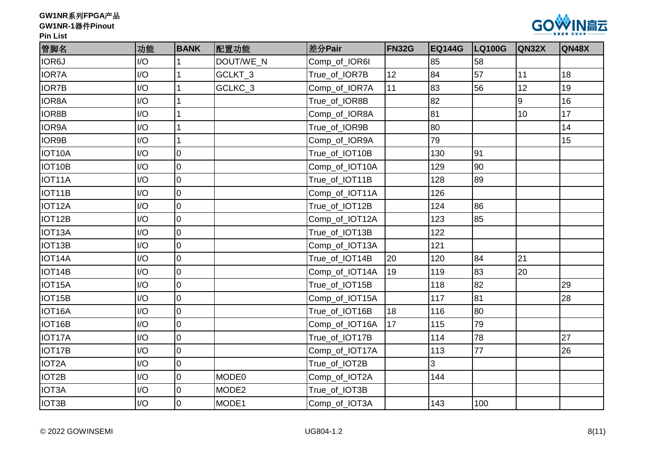



| 管脚名          | 功能  | <b>BANK</b>    | 配置功能              | 差分Pair         | <b>FN32G</b> | <b>EQ144G</b> | <b>LQ100G</b> | <b>QN32X</b> | QN48X |
|--------------|-----|----------------|-------------------|----------------|--------------|---------------|---------------|--------------|-------|
| IOR6J        | I/O |                | DOUT/WE N         | Comp_of_IOR6I  |              | 85            | 58            |              |       |
| <b>IOR7A</b> | I/O |                | GCLKT_3           | True_of_IOR7B  | 12           | 84            | 57            | 11           | 18    |
| <b>IOR7B</b> | I/O |                | GCLKC_3           | Comp_of_IOR7A  | 11           | 83            | 56            | 12           | 19    |
| <b>IOR8A</b> | I/O |                |                   | True_of_IOR8B  |              | 82            |               | 9            | 16    |
| IOR8B        | I/O |                |                   | Comp_of_IOR8A  |              | 81            |               | 10           | 17    |
| IOR9A        | I/O |                |                   | True_of_IOR9B  |              | 80            |               |              | 14    |
| IOR9B        | I/O | 1              |                   | Comp_of_IOR9A  |              | 79            |               |              | 15    |
| IOT10A       | I/O | $\overline{0}$ |                   | True_of_IOT10B |              | 130           | 91            |              |       |
| IOT10B       | I/O | $\overline{0}$ |                   | Comp_of_IOT10A |              | 129           | 90            |              |       |
| IOT11A       | I/O | $\overline{0}$ |                   | True_of_IOT11B |              | 128           | 89            |              |       |
| IOT11B       | I/O | $\overline{0}$ |                   | Comp_of_IOT11A |              | 126           |               |              |       |
| IOT12A       | I/O | $\overline{0}$ |                   | True_of_IOT12B |              | 124           | 86            |              |       |
| IOT12B       | I/O | $\overline{0}$ |                   | Comp_of_IOT12A |              | 123           | 85            |              |       |
| IOT13A       | I/O | $\overline{0}$ |                   | True_of_IOT13B |              | 122           |               |              |       |
| IOT13B       | I/O | $\overline{0}$ |                   | Comp_of_IOT13A |              | 121           |               |              |       |
| IOT14A       | I/O | $\overline{0}$ |                   | True_of_IOT14B | 20           | 120           | 84            | 21           |       |
| IOT14B       | I/O | $\overline{0}$ |                   | Comp_of_IOT14A | 19           | 119           | 83            | 20           |       |
| IOT15A       | I/O | $\overline{0}$ |                   | True_of_IOT15B |              | 118           | 82            |              | 29    |
| IOT15B       | I/O | $\mathsf 0$    |                   | Comp_of_IOT15A |              | 117           | 81            |              | 28    |
| IOT16A       | I/O | $\overline{0}$ |                   | True_of_IOT16B | 18           | 116           | 80            |              |       |
| IOT16B       | I/O | $\overline{0}$ |                   | Comp_of_IOT16A | 17           | 115           | 79            |              |       |
| IOT17A       | I/O | $\overline{0}$ |                   | True_of_IOT17B |              | 114           | 78            |              | 27    |
| IOT17B       | I/O | $\overline{0}$ |                   | Comp_of_IOT17A |              | 113           | 77            |              | 26    |
| IOT2A        | I/O | $\overline{0}$ |                   | True_of_IOT2B  |              | 3             |               |              |       |
| IOT2B        | I/O | $\overline{0}$ | MODE <sub>0</sub> | Comp_of_IOT2A  |              | 144           |               |              |       |
| <b>IOT3A</b> | I/O | $\overline{0}$ | MODE <sub>2</sub> | True_of_IOT3B  |              |               |               |              |       |
| IOT3B        | I/O | $\overline{0}$ | MODE1             | Comp_of_IOT3A  |              | 143           | 100           |              |       |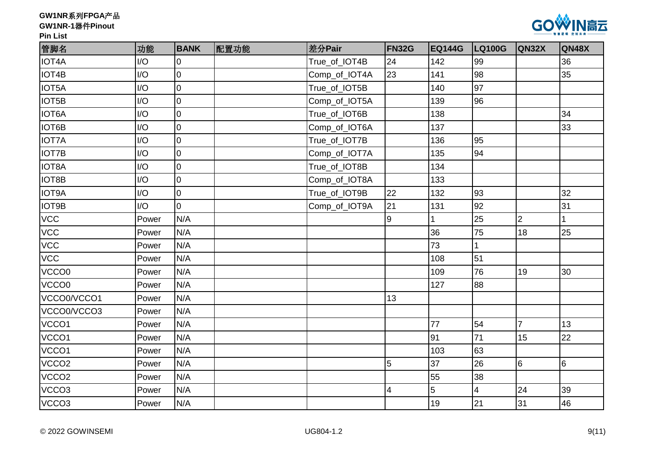



| 管脚名               | 功能    | <b>BANK</b>    | 配置功能 | 差分Pair        | FN32G | <b>EQ144G</b> | <b>LQ100G</b>           | QN32X          | QN48X           |
|-------------------|-------|----------------|------|---------------|-------|---------------|-------------------------|----------------|-----------------|
| <b>IOT4A</b>      | I/O   | $\overline{0}$ |      | True_of_IOT4B | 24    | 142           | 99                      |                | 36              |
| IOT4B             | I/O   | $\overline{0}$ |      | Comp_of_IOT4A | 23    | 141           | 98                      |                | 35              |
| IOT5A             | I/O   | $\overline{0}$ |      | True_of_IOT5B |       | 140           | 97                      |                |                 |
| IOT5B             | I/O   | $\overline{0}$ |      | Comp_of_IOT5A |       | 139           | 96                      |                |                 |
| <b>IOT6A</b>      | I/O   | $\overline{0}$ |      | True_of_IOT6B |       | 138           |                         |                | 34              |
| IOT6B             | I/O   | $\overline{0}$ |      | Comp_of_IOT6A |       | 137           |                         |                | 33              |
| <b>IOT7A</b>      | I/O   | $\overline{0}$ |      | True_of_IOT7B |       | 136           | 95                      |                |                 |
| <b>IOT7B</b>      | I/O   | $\overline{0}$ |      | Comp_of_IOT7A |       | 135           | 94                      |                |                 |
| IOT8A             | I/O   | $\overline{0}$ |      | True_of_IOT8B |       | 134           |                         |                |                 |
| IOT8B             | I/O   | $\overline{0}$ |      | Comp_of_IOT8A |       | 133           |                         |                |                 |
| <b>IOT9A</b>      | I/O   | $\overline{0}$ |      | True_of_IOT9B | 22    | 132           | 93                      |                | 32              |
| IOT9B             | I/O   | $\overline{0}$ |      | Comp_of_IOT9A | 21    | 131           | 92                      |                | 31              |
| <b>VCC</b>        | Power | N/A            |      |               | 9     |               | 25                      | $\overline{2}$ | 1               |
| <b>VCC</b>        | Power | N/A            |      |               |       | 36            | 75                      | 18             | 25              |
| <b>VCC</b>        | Power | N/A            |      |               |       | 73            |                         |                |                 |
| <b>VCC</b>        | Power | N/A            |      |               |       | 108           | 51                      |                |                 |
| VCCO0             | Power | N/A            |      |               |       | 109           | 76                      | 19             | 30              |
| VCCO0             | Power | N/A            |      |               |       | 127           | 88                      |                |                 |
| VCCO0/VCCO1       | Power | N/A            |      |               | 13    |               |                         |                |                 |
| VCCO0/VCCO3       | Power | N/A            |      |               |       |               |                         |                |                 |
| VCCO1             | Power | N/A            |      |               |       | 77            | 54                      | $\overline{7}$ | 13              |
| VCCO1             | Power | N/A            |      |               |       | 91            | 71                      | 15             | 22              |
| VCCO1             | Power | N/A            |      |               |       | 103           | 63                      |                |                 |
| VCCO <sub>2</sub> | Power | N/A            |      |               | 5     | 37            | 26                      | $\overline{6}$ | $6\overline{6}$ |
| VCCO <sub>2</sub> | Power | N/A            |      |               |       | 55            | 38                      |                |                 |
| VCCO <sub>3</sub> | Power | N/A            |      |               | 4     | 5             | $\overline{\mathbf{4}}$ | 24             | 39              |
| VCCO <sub>3</sub> | Power | N/A            |      |               |       | 19            | 21                      | 31             | 46              |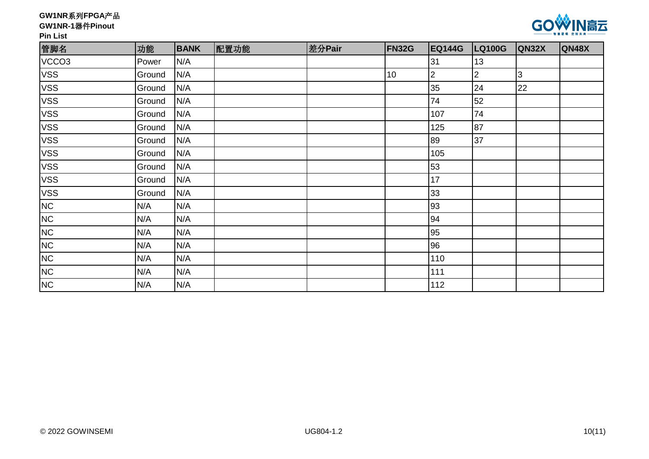# **GW1NR-1**器件**Pinout**



**Pin List**

| 管脚名                                                                   | 功能     | <b>BANK</b> | 配置功能 | 差分Pair | <b>FN32G</b> | <b>EQ144G</b>  | <b>LQ100G</b> | <b>QN32X</b> | <b>QN48X</b> |
|-----------------------------------------------------------------------|--------|-------------|------|--------|--------------|----------------|---------------|--------------|--------------|
| VCCO <sub>3</sub>                                                     | Power  | N/A         |      |        |              | 31             | 13            |              |              |
| <b>VSS</b>                                                            | Ground | N/A         |      |        | 10           | $\overline{2}$ | $\mathbf{2}$  | 3            |              |
| <b>VSS</b>                                                            | Ground | N/A         |      |        |              | 35             | 24            | 22           |              |
| <b>VSS</b>                                                            | Ground | N/A         |      |        |              | 74             | 52            |              |              |
| <b>VSS</b>                                                            | Ground | N/A         |      |        |              | 107            | 74            |              |              |
| <b>VSS</b>                                                            | Ground | N/A         |      |        |              | 125            | 87            |              |              |
| <b>VSS</b>                                                            | Ground | N/A         |      |        |              | 89             | 37            |              |              |
| <b>VSS</b>                                                            | Ground | N/A         |      |        |              | 105            |               |              |              |
| <b>VSS</b>                                                            | Ground | N/A         |      |        |              | 53             |               |              |              |
| <b>VSS</b>                                                            | Ground | N/A         |      |        |              | 17             |               |              |              |
| <b>VSS</b>                                                            | Ground | N/A         |      |        |              | 33             |               |              |              |
| NC                                                                    | N/A    | N/A         |      |        |              | 93             |               |              |              |
| NC                                                                    | N/A    | N/A         |      |        |              | 94             |               |              |              |
| NC                                                                    | N/A    | N/A         |      |        |              | 95             |               |              |              |
|                                                                       | N/A    | N/A         |      |        |              | 96             |               |              |              |
|                                                                       | N/A    | N/A         |      |        |              | 110            |               |              |              |
| $\frac{N}{N}$ $\frac{N}{N}$ $\frac{N}{N}$ $\frac{N}{N}$ $\frac{N}{N}$ | N/A    | N/A         |      |        |              | 111            |               |              |              |
|                                                                       | N/A    | N/A         |      |        |              | 112            |               |              |              |